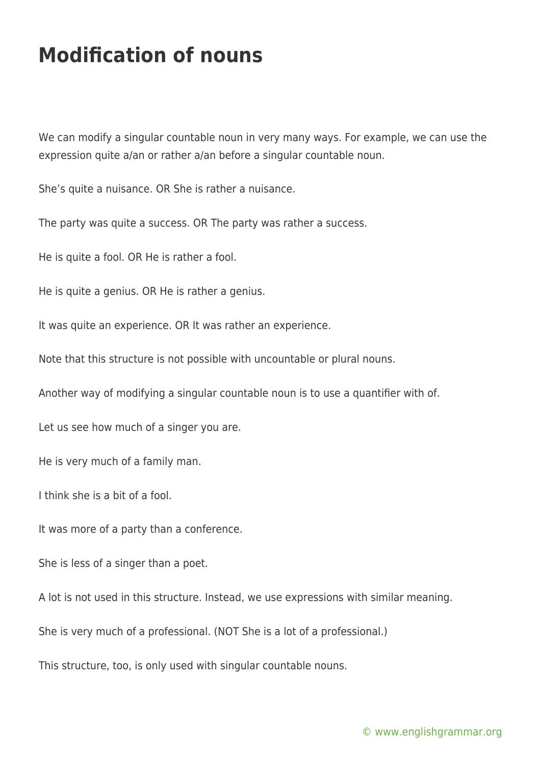## **Modification of nouns**

We can modify a singular countable noun in very many ways. For example, we can use the expression quite a/an or rather a/an before a singular countable noun.

She's quite a nuisance. OR She is rather a nuisance.

The party was quite a success. OR The party was rather a success.

He is quite a fool. OR He is rather a fool.

He is quite a genius. OR He is rather a genius.

It was quite an experience. OR It was rather an experience.

Note that this structure is not possible with uncountable or plural nouns.

Another way of modifying a singular countable noun is to use a quantifier with of.

Let us see how much of a singer you are.

He is very much of a family man.

I think she is a bit of a fool.

It was more of a party than a conference.

She is less of a singer than a poet.

A lot is not used in this structure. Instead, we use expressions with similar meaning.

She is very much of a professional. (NOT She is a lot of a professional.)

This structure, too, is only used with singular countable nouns.